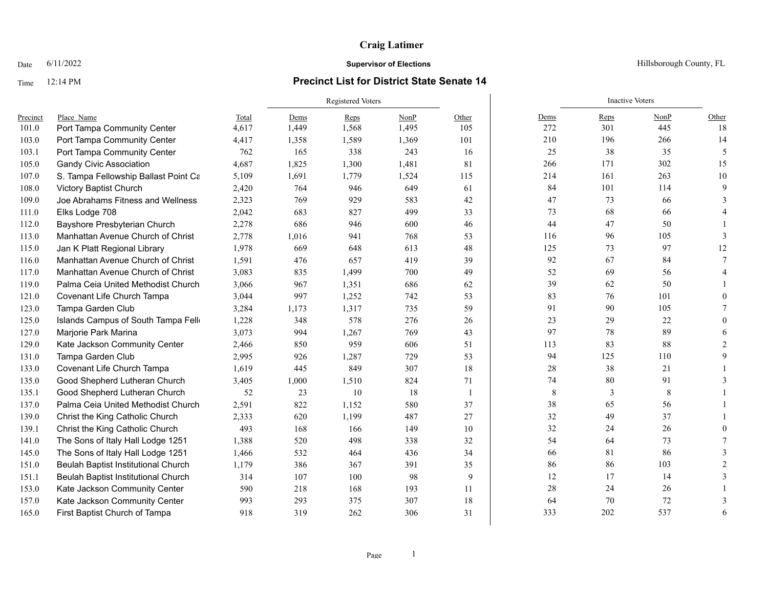### Time 12:14 PM **Precinct List for District State Senate 14**

|          |                                      |       | Registered Voters |       |       |       |        | <b>Inactive Voters</b> |      |              |
|----------|--------------------------------------|-------|-------------------|-------|-------|-------|--------|------------------------|------|--------------|
| Precinct | Place Name                           | Total | Dems              | Reps  | NonP  | Other | Dems   | Reps                   | NonP | Other        |
| 101.0    | Port Tampa Community Center          | 4,617 | 1,449             | 1,568 | 1,495 | 105   | 272    | 301                    | 445  | 18           |
| 103.0    | Port Tampa Community Center          | 4,417 | 1,358             | 1,589 | 1,369 | 101   | 210    | 196                    | 266  | 14           |
| 103.1    | Port Tampa Community Center          | 762   | 165               | 338   | 243   | 16    | 25     | 38                     | 35   | 5            |
| 105.0    | <b>Gandy Civic Association</b>       | 4,687 | 1,825             | 1,300 | 1,481 | 81    | 266    | 171                    | 302  | 15           |
| 107.0    | S. Tampa Fellowship Ballast Point Ca | 5,109 | 1,691             | 1,779 | 1,524 | 115   | 214    | 161                    | 263  | 10           |
| 108.0    | Victory Baptist Church               | 2,420 | 764               | 946   | 649   | 61    | 84     | 101                    | 114  | 9            |
| 109.0    | Joe Abrahams Fitness and Wellness    | 2,323 | 769               | 929   | 583   | 42    | 47     | 73                     | 66   |              |
| 111.0    | Elks Lodge 708                       | 2,042 | 683               | 827   | 499   | 33    | 73     | 68                     | 66   |              |
| 112.0    | Bayshore Presbyterian Church         | 2,278 | 686               | 946   | 600   | 46    | 44     | 47                     | 50   |              |
| 113.0    | Manhattan Avenue Church of Christ    | 2,778 | 1,016             | 941   | 768   | 53    | 116    | 96                     | 105  | $\mathbf{a}$ |
| 115.0    | Jan K Platt Regional Library         | 1,978 | 669               | 648   | 613   | 48    | 125    | 73                     | 97   | 12           |
| 116.0    | Manhattan Avenue Church of Christ    | 1,591 | 476               | 657   | 419   | 39    | 92     | 67                     | 84   |              |
| 117.0    | Manhattan Avenue Church of Christ    | 3,083 | 835               | 1,499 | 700   | 49    | 52     | 69                     | 56   |              |
| 119.0    | Palma Ceia United Methodist Church   | 3,066 | 967               | 1,351 | 686   | 62    | 39     | 62                     | 50   |              |
| 121.0    | Covenant Life Church Tampa           | 3,044 | 997               | 1,252 | 742   | 53    | 83     | 76                     | 101  | $\Omega$     |
| 123.0    | Tampa Garden Club                    | 3,284 | 1,173             | 1,317 | 735   | 59    | 91     | 90                     | 105  |              |
| 125.0    | Islands Campus of South Tampa Fello  | 1,228 | 348               | 578   | 276   | 26    | 23     | 29                     | 22   | $\Omega$     |
| 127.0    | Marjorie Park Marina                 | 3,073 | 994               | 1,267 | 769   | 43    | 97     | 78                     | 89   |              |
| 129.0    | Kate Jackson Community Center        | 2,466 | 850               | 959   | 606   | 51    | 113    | 83                     | 88   |              |
| 131.0    | Tampa Garden Club                    | 2,995 | 926               | 1,287 | 729   | 53    | 94     | 125                    | 110  |              |
| 133.0    | Covenant Life Church Tampa           | 1,619 | 445               | 849   | 307   | 18    | 28     | 38                     | 21   |              |
| 135.0    | Good Shepherd Lutheran Church        | 3,405 | 1,000             | 1,510 | 824   | 71    | 74     | 80                     | 91   |              |
| 135.1    | Good Shepherd Lutheran Church        | 52    | 23                | 10    | 18    | 1     | 8      | 3                      | 8    |              |
| 137.0    | Palma Ceia United Methodist Church   | 2,591 | 822               | 1,152 | 580   | 37    | 38     | 65                     | 56   |              |
| 139.0    | Christ the King Catholic Church      | 2,333 | 620               | 1,199 | 487   | 27    | 32     | 49                     | 37   |              |
| 139.1    | Christ the King Catholic Church      | 493   | 168               | 166   | 149   | 10    | 32     | 24                     | 26   |              |
| 141.0    | The Sons of Italy Hall Lodge 1251    | 1,388 | 520               | 498   | 338   | 32    | 54     | 64                     | 73   |              |
| 145.0    | The Sons of Italy Hall Lodge 1251    | 1,466 | 532               | 464   | 436   | 34    | 66     | 81                     | 86   |              |
| 151.0    | Beulah Baptist Institutional Church  | 1,179 | 386               | 367   | 391   | 35    | 86     | 86                     | 103  |              |
| 151.1    | Beulah Baptist Institutional Church  | 314   | 107               | 100   | 98    | 9     | 12     | 17                     | 14   |              |
| 153.0    | Kate Jackson Community Center        | 590   | 218               | 168   | 193   | 11    | $28\,$ | 24                     | 26   |              |
| 157.0    | Kate Jackson Community Center        | 993   | 293               | 375   | 307   | 18    | 64     | 70                     | 72   |              |
| 165.0    | First Baptist Church of Tampa        | 918   | 319               | 262   | 306   | 31    | 333    | 202                    | 537  | 6            |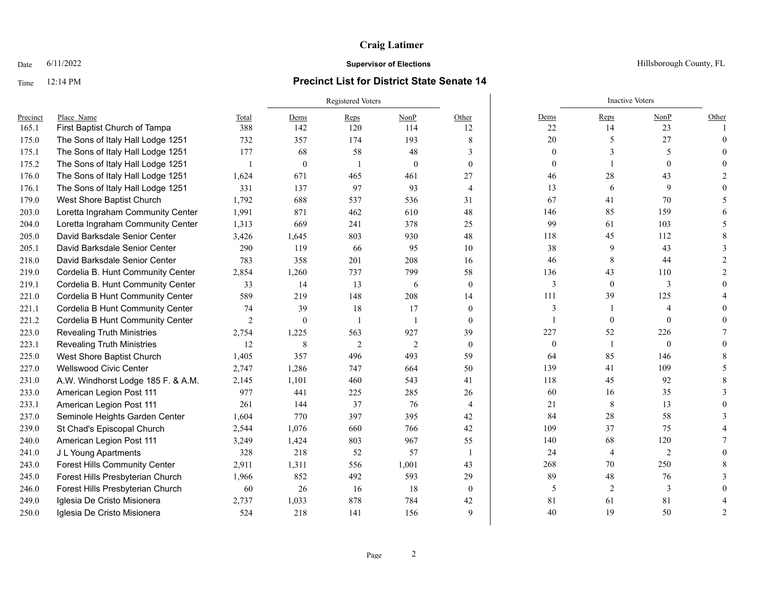# Time 12:14 PM **Precinct List for District State Senate 14**

|          |                                      |       | Registered Voters |                |          |              |                          | <b>Inactive Voters</b> |                  |       |
|----------|--------------------------------------|-------|-------------------|----------------|----------|--------------|--------------------------|------------------------|------------------|-------|
| Precinct | Place Name                           | Total | Dems              | $Reps$         | NonP     | Other        | Dems                     | $Reps$                 | NonP             | Other |
| 165.1    | First Baptist Church of Tampa        | 388   | 142               | 120            | 114      | 12           | 22                       | 14                     | 23               |       |
| 175.0    | The Sons of Italy Hall Lodge 1251    | 732   | 357               | 174            | 193      | 8            | 20                       | 5                      | 27               |       |
| 175.1    | The Sons of Italy Hall Lodge 1251    | 177   | 68                | 58             | 48       | 3            | $\overline{0}$           |                        | 5                |       |
| 175.2    | The Sons of Italy Hall Lodge 1251    |       | $\mathbf{0}$      |                | $\theta$ | $\theta$     | $\mathbf{0}$             |                        | $\theta$         |       |
| 176.0    | The Sons of Italy Hall Lodge 1251    | 1,624 | 671               | 465            | 461      | 27           | 46                       | 28                     | 43               |       |
| 176.1    | The Sons of Italy Hall Lodge 1251    | 331   | 137               | 97             | 93       | 4            | 13                       | 6                      | 9                |       |
| 179.0    | West Shore Baptist Church            | 1,792 | 688               | 537            | 536      | 31           | 67                       | 41                     | 70               |       |
| 203.0    | Loretta Ingraham Community Center    | 1,991 | 871               | 462            | 610      | 48           | 146                      | 85                     | 159              |       |
| 204.0    | Loretta Ingraham Community Center    | 1,313 | 669               | 241            | 378      | 25           | 99                       | 61                     | 103              |       |
| 205.0    | David Barksdale Senior Center        | 3,426 | 1,645             | 803            | 930      | 48           | 118                      | 45                     | 112              |       |
| 205.1    | David Barksdale Senior Center        | 290   | 119               | 66             | 95       | 10           | 38                       | 9                      | 43               |       |
| 218.0    | David Barksdale Senior Center        | 783   | 358               | 201            | 208      | 16           | 46                       | 8                      | 44               |       |
| 219.0    | Cordelia B. Hunt Community Center    | 2,854 | 1,260             | 737            | 799      | 58           | 136                      | 43                     | 110              |       |
| 219.1    | Cordelia B. Hunt Community Center    | 33    | 14                | 13             | 6        | $\theta$     | 3                        | $\mathbf{0}$           | 3                |       |
| 221.0    | Cordelia B Hunt Community Center     | 589   | 219               | 148            | 208      | 14           | 111                      | 39                     | 125              |       |
| 221.1    | Cordelia B Hunt Community Center     | 74    | 39                | 18             | 17       | $\theta$     | 3                        |                        |                  |       |
| 221.2    | Cordelia B Hunt Community Center     | 2     | $\theta$          |                |          | $\mathbf{0}$ | $\overline{\phantom{a}}$ | $\theta$               | $\theta$         |       |
| 223.0    | <b>Revealing Truth Ministries</b>    | 2,754 | 1,225             | 563            | 927      | 39           | 227                      | 52                     | 226              |       |
| 223.1    | <b>Revealing Truth Ministries</b>    | 12    | 8                 | $\overline{2}$ | 2        | $\mathbf{0}$ | $\boldsymbol{0}$         | $\overline{1}$         | $\boldsymbol{0}$ |       |
| 225.0    | West Shore Baptist Church            | 1,405 | 357               | 496            | 493      | 59           | 64                       | 85                     | 146              |       |
| 227.0    | Wellswood Civic Center               | 2,747 | 1,286             | 747            | 664      | 50           | 139                      | 41                     | 109              |       |
| 231.0    | A.W. Windhorst Lodge 185 F. & A.M.   | 2,145 | 1,101             | 460            | 543      | 41           | 118                      | 45                     | 92               |       |
| 233.0    | American Legion Post 111             | 977   | 441               | 225            | 285      | 26           | 60                       | 16                     | 35               |       |
| 233.1    | American Legion Post 111             | 261   | 144               | 37             | 76       | 4            | 21                       | 8                      | 13               |       |
| 237.0    | Seminole Heights Garden Center       | 1,604 | 770               | 397            | 395      | 42           | 84                       | 28                     | 58               |       |
| 239.0    | St Chad's Episcopal Church           | 2,544 | 1,076             | 660            | 766      | 42           | 109                      | 37                     | 75               |       |
| 240.0    | American Legion Post 111             | 3,249 | 1,424             | 803            | 967      | 55           | 140                      | 68                     | 120              |       |
| 241.0    | J L Young Apartments                 | 328   | 218               | 52             | 57       | $\mathbf{1}$ | 24                       | $\overline{4}$         | $\overline{c}$   |       |
| 243.0    | <b>Forest Hills Community Center</b> | 2,911 | 1,311             | 556            | 1,001    | 43           | 268                      | 70                     | 250              |       |
| 245.0    | Forest Hills Presbyterian Church     | 1,966 | 852               | 492            | 593      | 29           | 89                       | 48                     | 76               |       |
| 246.0    | Forest Hills Presbyterian Church     | 60    | 26                | 16             | 18       | $\mathbf{0}$ | 5                        | 2                      | 3                |       |
| 249.0    | Iglesia De Cristo Misionera          | 2,737 | 1,033             | 878            | 784      | 42           | 81                       | 61                     | 81               |       |
| 250.0    | Iglesia De Cristo Misionera          | 524   | 218               | 141            | 156      | 9            | 40                       | 19                     | 50               | 2     |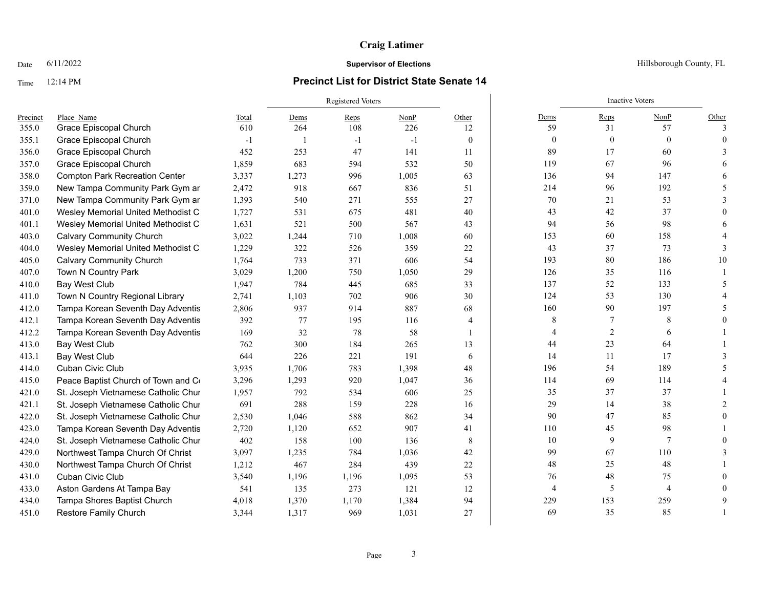# Time 12:14 PM **Precinct List for District State Senate 14**

|          |                                       |       | Registered Voters |       |       |                 |              | <b>Inactive Voters</b> |                |          |  |
|----------|---------------------------------------|-------|-------------------|-------|-------|-----------------|--------------|------------------------|----------------|----------|--|
| Precinct | Place Name                            | Total | Dems              | Reps  | NonP  | Other           | Dems         | Reps                   | NonP           | Other    |  |
| 355.0    | Grace Episcopal Church                | 610   | 264               | 108   | 226   | 12              | 59           | 31                     | 57             | 3        |  |
| 355.1    | Grace Episcopal Church                | $-1$  |                   | $-1$  | $-1$  | $\mathbf{0}$    | $\mathbf{0}$ | $\mathbf{0}$           | $\theta$       | $\Omega$ |  |
| 356.0    | Grace Episcopal Church                | 452   | 253               | 47    | 141   | 11              | 89           | 17                     | 60             |          |  |
| 357.0    | Grace Episcopal Church                | 1,859 | 683               | 594   | 532   | 50              | 119          | 67                     | 96             |          |  |
| 358.0    | <b>Compton Park Recreation Center</b> | 3,337 | 1,273             | 996   | 1,005 | 63              | 136          | 94                     | 147            |          |  |
| 359.0    | New Tampa Community Park Gym ar       | 2,472 | 918               | 667   | 836   | 51              | 214          | 96                     | 192            |          |  |
| 371.0    | New Tampa Community Park Gym ar       | 1,393 | 540               | 271   | 555   | 27              | 70           | 21                     | 53             |          |  |
| 401.0    | Wesley Memorial United Methodist C    | 1,727 | 531               | 675   | 481   | 40              | 43           | 42                     | 37             |          |  |
| 401.1    | Wesley Memorial United Methodist C    | 1,631 | 521               | 500   | 567   | 43              | 94           | 56                     | 98             |          |  |
| 403.0    | <b>Calvary Community Church</b>       | 3,022 | 1,244             | 710   | 1,008 | 60              | 153          | 60                     | 158            |          |  |
| 404.0    | Wesley Memorial United Methodist C    | 1,229 | 322               | 526   | 359   | 22              | 43           | 37                     | 73             |          |  |
| 405.0    | <b>Calvary Community Church</b>       | 1,764 | 733               | 371   | 606   | 54              | 193          | 80                     | 186            | 10       |  |
| 407.0    | Town N Country Park                   | 3,029 | 1,200             | 750   | 1,050 | 29              | 126          | 35                     | 116            |          |  |
| 410.0    | Bay West Club                         | 1,947 | 784               | 445   | 685   | 33              | 137          | 52                     | 133            |          |  |
| 411.0    | Town N Country Regional Library       | 2,741 | 1,103             | 702   | 906   | 30              | 124          | 53                     | 130            |          |  |
| 412.0    | Tampa Korean Seventh Day Adventis     | 2,806 | 937               | 914   | 887   | 68              | 160          | 90                     | 197            |          |  |
| 412.1    | Tampa Korean Seventh Day Adventis     | 392   | 77                | 195   | 116   | 4               | 8            |                        | 8              |          |  |
| 412.2    | Tampa Korean Seventh Day Adventis     | 169   | 32                | 78    | 58    | $\mathbf{1}$    | 4            | 2                      | 6              |          |  |
| 413.0    | Bay West Club                         | 762   | 300               | 184   | 265   | 13              | 44           | 23                     | 64             |          |  |
| 413.1    | <b>Bay West Club</b>                  | 644   | 226               | 221   | 191   | 6               | 14           | 11                     | 17             |          |  |
| 414.0    | Cuban Civic Club                      | 3,935 | 1,706             | 783   | 1,398 | 48              | 196          | 54                     | 189            |          |  |
| 415.0    | Peace Baptist Church of Town and Co   | 3,296 | 1,293             | 920   | 1,047 | 36              | 114          | 69                     | 114            |          |  |
| 421.0    | St. Joseph Vietnamese Catholic Chur   | 1,957 | 792               | 534   | 606   | 25              | 35           | 37                     | 37             |          |  |
| 421.1    | St. Joseph Vietnamese Catholic Chur   | 691   | 288               | 159   | 228   | 16              | 29           | 14                     | 38             |          |  |
| 422.0    | St. Joseph Vietnamese Catholic Chur   | 2,530 | 1,046             | 588   | 862   | 34              | 90           | 47                     | 85             |          |  |
| 423.0    | Tampa Korean Seventh Day Adventis     | 2,720 | 1,120             | 652   | 907   | 41              | 110          | 45                     | 98             |          |  |
| 424.0    | St. Joseph Vietnamese Catholic Chur   | 402   | 158               | 100   | 136   | $8\phantom{.0}$ | $10\,$       | 9                      | $\overline{7}$ |          |  |
| 429.0    | Northwest Tampa Church Of Christ      | 3,097 | 1,235             | 784   | 1,036 | 42              | 99           | 67                     | 110            |          |  |
| 430.0    | Northwest Tampa Church Of Christ      | 1,212 | 467               | 284   | 439   | 22              | 48           | 25                     | 48             |          |  |
| 431.0    | Cuban Civic Club                      | 3,540 | 1,196             | 1,196 | 1,095 | 53              | 76           | 48                     | 75             |          |  |
| 433.0    | Aston Gardens At Tampa Bay            | 541   | 135               | 273   | 121   | 12              | 4            | 5                      | $\overline{4}$ |          |  |
| 434.0    | Tampa Shores Baptist Church           | 4,018 | 1,370             | 1,170 | 1,384 | 94              | 229          | 153                    | 259            | 9        |  |
| 451.0    | Restore Family Church                 | 3,344 | 1,317             | 969   | 1,031 | 27              | 69           | 35                     | 85             |          |  |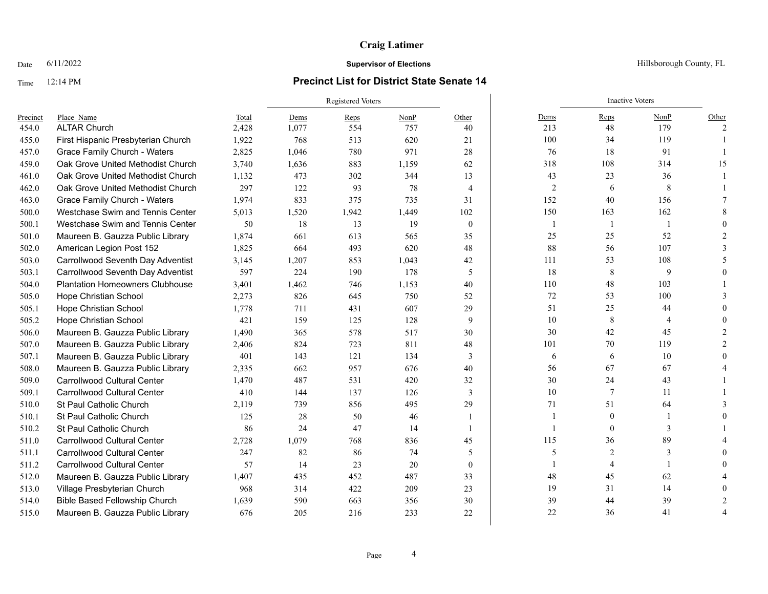### Time 12:14 PM **Precinct List for District State Senate 14**

|          |                                        |       | <b>Registered Voters</b> |       |       |                |                | <b>Inactive Voters</b> |              |       |
|----------|----------------------------------------|-------|--------------------------|-------|-------|----------------|----------------|------------------------|--------------|-------|
| Precinct | Place Name                             | Total | Dems                     | Reps  | NonP  | Other          | Dems           | Reps                   | NonP         | Other |
| 454.0    | <b>ALTAR Church</b>                    | 2,428 | 1.077                    | 554   | 757   | 40             | 213            | 48                     | 179          |       |
| 455.0    | First Hispanic Presbyterian Church     | 1,922 | 768                      | 513   | 620   | 21             | 100            | 34                     | 119          |       |
| 457.0    | <b>Grace Family Church - Waters</b>    | 2,825 | 1,046                    | 780   | 971   | 28             | 76             | 18                     | 91           |       |
| 459.0    | Oak Grove United Methodist Church      | 3,740 | 1,636                    | 883   | 1,159 | 62             | 318            | 108                    | 314          | 15    |
| 461.0    | Oak Grove United Methodist Church      | 1,132 | 473                      | 302   | 344   | 13             | 43             | 23                     | 36           |       |
| 462.0    | Oak Grove United Methodist Church      | 297   | 122                      | 93    | 78    | $\overline{4}$ | $\overline{2}$ | 6                      | 8            |       |
| 463.0    | Grace Family Church - Waters           | 1,974 | 833                      | 375   | 735   | 31             | 152            | 40                     | 156          |       |
| 500.0    | Westchase Swim and Tennis Center       | 5,013 | 1,520                    | 1,942 | 1,449 | 102            | 150            | 163                    | 162          |       |
| 500.1    | Westchase Swim and Tennis Center       | 50    | 18                       | 13    | 19    | $\mathbf{0}$   |                | $\mathbf{1}$           | $\mathbf{1}$ |       |
| 501.0    | Maureen B. Gauzza Public Library       | 1,874 | 661                      | 613   | 565   | 35             | 25             | 25                     | 52           |       |
| 502.0    | American Legion Post 152               | 1,825 | 664                      | 493   | 620   | 48             | 88             | 56                     | 107          |       |
| 503.0    | Carrollwood Seventh Day Adventist      | 3,145 | 1,207                    | 853   | 1,043 | 42             | 111            | 53                     | 108          |       |
| 503.1    | Carrollwood Seventh Day Adventist      | 597   | 224                      | 190   | 178   | 5              | 18             | 8                      | 9            |       |
| 504.0    | <b>Plantation Homeowners Clubhouse</b> | 3,401 | 1,462                    | 746   | 1,153 | 40             | 110            | 48                     | 103          |       |
| 505.0    | Hope Christian School                  | 2,273 | 826                      | 645   | 750   | 52             | 72             | 53                     | 100          |       |
| 505.1    | Hope Christian School                  | 1.778 | 711                      | 431   | 607   | 29             | 51             | 25                     | 44           |       |
| 505.2    | Hope Christian School                  | 421   | 159                      | 125   | 128   | 9              | 10             | 8                      | 4            |       |
| 506.0    | Maureen B. Gauzza Public Library       | 1,490 | 365                      | 578   | 517   | 30             | 30             | 42                     | 45           |       |
| 507.0    | Maureen B. Gauzza Public Library       | 2,406 | 824                      | 723   | 811   | 48             | 101            | 70                     | 119          |       |
| 507.1    | Maureen B. Gauzza Public Library       | 401   | 143                      | 121   | 134   | 3              | 6              | 6                      | 10           |       |
| 508.0    | Maureen B. Gauzza Public Library       | 2,335 | 662                      | 957   | 676   | 40             | 56             | 67                     | 67           |       |
| 509.0    | <b>Carrollwood Cultural Center</b>     | 1,470 | 487                      | 531   | 420   | 32             | 30             | 24                     | 43           |       |
| 509.1    | Carrollwood Cultural Center            | 410   | 144                      | 137   | 126   | 3              | 10             | $\tau$                 | 11           |       |
| 510.0    | St Paul Catholic Church                | 2,119 | 739                      | 856   | 495   | 29             | 71             | 51                     | 64           |       |
| 510.1    | St Paul Catholic Church                | 125   | 28                       | 50    | 46    | $\mathbf{1}$   |                | $\mathbf{0}$           | 1            |       |
| 510.2    | St Paul Catholic Church                | 86    | 24                       | 47    | 14    | $\mathbf{1}$   |                | $\theta$               | 3            |       |
| 511.0    | Carrollwood Cultural Center            | 2,728 | 1.079                    | 768   | 836   | 45             | 115            | 36                     | 89           |       |
| 511.1    | Carrollwood Cultural Center            | 247   | 82                       | 86    | 74    | 5              | 5              | $\overline{2}$         | 3            |       |
| 511.2    | <b>Carrollwood Cultural Center</b>     | 57    | 14                       | 23    | 20    | $\mathbf{0}$   | -1             | 4                      | 1            |       |
| 512.0    | Maureen B. Gauzza Public Library       | 1,407 | 435                      | 452   | 487   | 33             | 48             | 45                     | 62           |       |
| 513.0    | Village Presbyterian Church            | 968   | 314                      | 422   | 209   | 23             | 19             | 31                     | 14           |       |
| 514.0    | Bible Based Fellowship Church          | 1,639 | 590                      | 663   | 356   | 30             | 39             | 44                     | 39           |       |
| 515.0    | Maureen B. Gauzza Public Library       | 676   | 205                      | 216   | 233   | 22             | 22             | 36                     | 41           |       |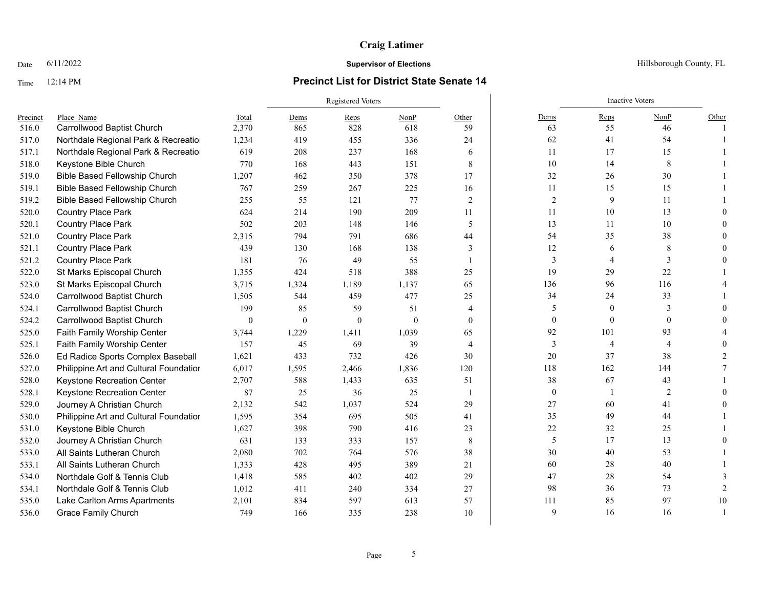### Time 12:14 PM **Precinct List for District State Senate 14**

|          |                                        |                  |              | <b>Registered Voters</b> |          |                |                  | <b>Inactive Voters</b> |                |               |
|----------|----------------------------------------|------------------|--------------|--------------------------|----------|----------------|------------------|------------------------|----------------|---------------|
| Precinct | Place Name                             | Total            | Dems         | Reps                     | NonP     | Other          | Dems             | Reps                   | NonP           | Other         |
| 516.0    | Carrollwood Baptist Church             | 2,370            | 865          | 828                      | 618      | 59             | 63               | 55                     | 46             |               |
| 517.0    | Northdale Regional Park & Recreatio    | 1,234            | 419          | 455                      | 336      | 24             | 62               | 41                     | 54             |               |
| 517.1    | Northdale Regional Park & Recreatio    | 619              | 208          | 237                      | 168      | 6              | 11               | 17                     | 15             |               |
| 518.0    | Keystone Bible Church                  | 770              | 168          | 443                      | 151      | 8              | 10               | 14                     | 8              |               |
| 519.0    | Bible Based Fellowship Church          | 1,207            | 462          | 350                      | 378      | 17             | 32               | 26                     | 30             |               |
| 519.1    | Bible Based Fellowship Church          | 767              | 259          | 267                      | 225      | 16             | $11\,$           | 15                     | 15             |               |
| 519.2    | <b>Bible Based Fellowship Church</b>   | 255              | 55           | 121                      | 77       | 2              | $\overline{2}$   | 9                      | 11             |               |
| 520.0    | <b>Country Place Park</b>              | 624              | 214          | 190                      | 209      | 11             | 11               | 10                     | 13             |               |
| 520.1    | Country Place Park                     | 502              | 203          | 148                      | 146      | 5              | 13               | 11                     | 10             |               |
| 521.0    | <b>Country Place Park</b>              | 2,315            | 794          | 791                      | 686      | 44             | 54               | 35                     | 38             |               |
| 521.1    | <b>Country Place Park</b>              | 439              | 130          | 168                      | 138      | 3              | 12               | 6                      | 8              |               |
| 521.2    | <b>Country Place Park</b>              | 181              | 76           | 49                       | 55       |                | 3                |                        | 3              |               |
| 522.0    | St Marks Episcopal Church              | 1,355            | 424          | 518                      | 388      | 25             | 19               | 29                     | 22             |               |
| 523.0    | St Marks Episcopal Church              | 3,715            | 1,324        | 1,189                    | 1,137    | 65             | 136              | 96                     | 116            |               |
| 524.0    | Carrollwood Baptist Church             | 1,505            | 544          | 459                      | 477      | 25             | 34               | 24                     | 33             |               |
| 524.1    | Carrollwood Baptist Church             | 199              | 85           | 59                       | 51       | 4              | 5                | $\theta$               | 3              |               |
| 524.2    | Carrollwood Baptist Church             | $\boldsymbol{0}$ | $\mathbf{0}$ | $\mathbf{0}$             | $\Omega$ | $\theta$       | $\boldsymbol{0}$ | $\mathbf{0}$           | $\mathbf{0}$   |               |
| 525.0    | Faith Family Worship Center            | 3,744            | 1,229        | 1,411                    | 1,039    | 65             | 92               | 101                    | 93             |               |
| 525.1    | Faith Family Worship Center            | 157              | 45           | 69                       | 39       | $\overline{4}$ | 3                | $\overline{4}$         | $\overline{4}$ |               |
| 526.0    | Ed Radice Sports Complex Baseball      | 1,621            | 433          | 732                      | 426      | 30             | 20               | 37                     | 38             |               |
| 527.0    | Philippine Art and Cultural Foundatior | 6,017            | 1,595        | 2,466                    | 1,836    | 120            | 118              | 162                    | 144            |               |
| 528.0    | <b>Keystone Recreation Center</b>      | 2,707            | 588          | 1,433                    | 635      | 51             | 38               | 67                     | 43             |               |
| 528.1    | Keystone Recreation Center             | 87               | 25           | 36                       | 25       | $\overline{1}$ | $\boldsymbol{0}$ |                        | $\overline{2}$ |               |
| 529.0    | Journey A Christian Church             | 2,132            | 542          | 1,037                    | 524      | 29             | 27               | 60                     | 41             |               |
| 530.0    | Philippine Art and Cultural Foundatior | 1,595            | 354          | 695                      | 505      | 41             | 35               | 49                     | 44             |               |
| 531.0    | Keystone Bible Church                  | 1,627            | 398          | 790                      | 416      | 23             | 22               | 32                     | 25             |               |
| 532.0    | Journey A Christian Church             | 631              | 133          | 333                      | 157      | 8              | 5                | 17                     | 13             |               |
| 533.0    | All Saints Lutheran Church             | 2,080            | 702          | 764                      | 576      | 38             | 30               | 40                     | 53             |               |
| 533.1    | All Saints Lutheran Church             | 1,333            | 428          | 495                      | 389      | 21             | 60               | 28                     | 40             |               |
| 534.0    | Northdale Golf & Tennis Club           | 1,418            | 585          | 402                      | 402      | 29             | 47               | 28                     | 54             |               |
| 534.1    | Northdale Golf & Tennis Club           | 1,012            | 411          | 240                      | 334      | 27             | 98               | 36                     | 73             | $\mathcal{P}$ |
| 535.0    | Lake Carlton Arms Apartments           | 2,101            | 834          | 597                      | 613      | 57             | 111              | 85                     | 97             | 10            |
| 536.0    | <b>Grace Family Church</b>             | 749              | 166          | 335                      | 238      | 10             | 9                | 16                     | 16             |               |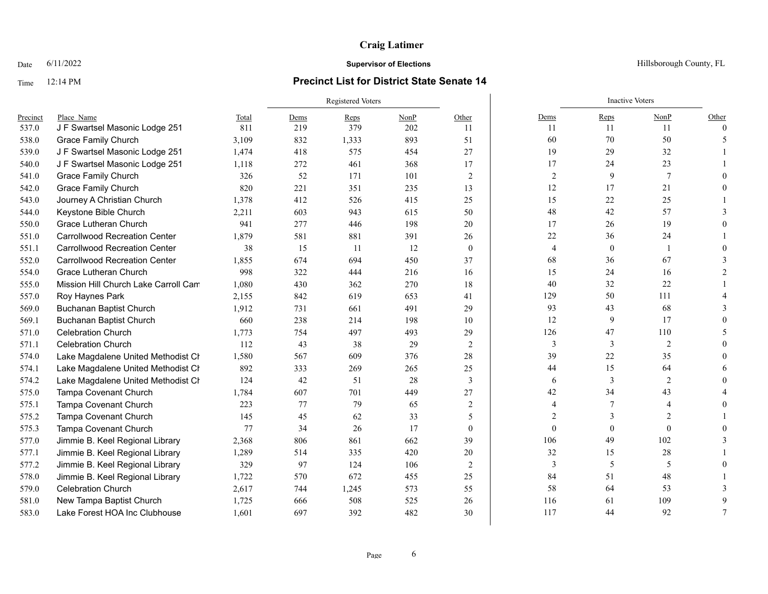### Time 12:14 PM **Precinct List for District State Senate 14**

|          |                                      |       | <b>Registered Voters</b> |       |      |              |                | <b>Inactive Voters</b> |                               |                |
|----------|--------------------------------------|-------|--------------------------|-------|------|--------------|----------------|------------------------|-------------------------------|----------------|
| Precinct | Place Name                           | Total | Dems                     | Reps  | NonP | Other        | Dems           | Reps                   | NonP                          | Other          |
| 537.0    | J F Swartsel Masonic Lodge 251       | 811   | 219                      | 379   | 202  | 11           | 11             | 11                     | 11                            | $\Omega$       |
| 538.0    | <b>Grace Family Church</b>           | 3,109 | 832                      | 1,333 | 893  | 51           | 60             | 70                     | 50                            |                |
| 539.0    | J F Swartsel Masonic Lodge 251       | 1,474 | 418                      | 575   | 454  | 27           | 19             | 29                     | 32                            |                |
| 540.0    | J F Swartsel Masonic Lodge 251       | 1,118 | 272                      | 461   | 368  | 17           | 17             | 24                     | 23                            |                |
| 541.0    | <b>Grace Family Church</b>           | 326   | 52                       | 171   | 101  | 2            | $\overline{2}$ | 9                      | 7                             |                |
| 542.0    | <b>Grace Family Church</b>           | 820   | 221                      | 351   | 235  | 13           | 12             | 17                     | 21                            |                |
| 543.0    | Journey A Christian Church           | 1,378 | 412                      | 526   | 415  | 25           | 15             | 22                     | 25                            |                |
| 544.0    | Keystone Bible Church                | 2,211 | 603                      | 943   | 615  | 50           | 48             | 42                     | 57                            |                |
| 550.0    | Grace Lutheran Church                | 941   | 277                      | 446   | 198  | 20           | 17             | 26                     | 19                            |                |
| 551.0    | <b>Carrollwood Recreation Center</b> | 1,879 | 581                      | 881   | 391  | 26           | $22\,$         | 36                     | 24                            |                |
| 551.1    | <b>Carrollwood Recreation Center</b> | 38    | 15                       | 11    | 12   | $\mathbf{0}$ | $\overline{4}$ | $\mathbf{0}$           |                               |                |
| 552.0    | <b>Carrollwood Recreation Center</b> | 1.855 | 674                      | 694   | 450  | 37           | 68             | 36                     | 67                            |                |
| 554.0    | Grace Lutheran Church                | 998   | 322                      | 444   | 216  | 16           | 15             | 24                     | 16                            |                |
| 555.0    | Mission Hill Church Lake Carroll Cam | 1,080 | 430                      | 362   | 270  | 18           | 40             | 32                     | 22                            |                |
| 557.0    | Roy Haynes Park                      | 2,155 | 842                      | 619   | 653  | 41           | 129            | 50                     | 111                           |                |
| 569.0    | <b>Buchanan Baptist Church</b>       | 1,912 | 731                      | 661   | 491  | 29           | 93             | 43                     | 68                            |                |
| 569.1    | <b>Buchanan Baptist Church</b>       | 660   | 238                      | 214   | 198  | 10           | 12             | 9                      | 17                            |                |
| 571.0    | <b>Celebration Church</b>            | 1,773 | 754                      | 497   | 493  | 29           | 126            | 47                     | 110                           |                |
| 571.1    | <b>Celebration Church</b>            | 112   | 43                       | 38    | 29   | 2            | 3              | 3                      | $\overline{2}$                |                |
| 574.0    | Lake Magdalene United Methodist Cr   | 1,580 | 567                      | 609   | 376  | 28           | 39             | 22                     | 35                            |                |
| 574.1    | Lake Magdalene United Methodist Cr   | 892   | 333                      | 269   | 265  | 25           | 44             | 15                     | 64                            |                |
| 574.2    | Lake Magdalene United Methodist Ch   | 124   | 42                       | 51    | 28   | 3            | 6              | 3                      | $\overline{2}$                |                |
| 575.0    | Tampa Covenant Church                | 1,784 | 607                      | 701   | 449  | 27           | 42             | 34                     | 43                            |                |
| 575.1    | Tampa Covenant Church                | 223   | 77                       | 79    | 65   | 2            | 4              |                        | $\overline{4}$                |                |
| 575.2    | Tampa Covenant Church                | 145   | 45                       | 62    | 33   | 5            | $\mathfrak{D}$ | 3                      | $\mathfrak{D}_{\mathfrak{p}}$ |                |
| 575.3    | <b>Tampa Covenant Church</b>         | 77    | 34                       | 26    | 17   | $\theta$     | $\theta$       | $\Omega$               | $\Omega$                      |                |
| 577.0    | Jimmie B. Keel Regional Library      | 2,368 | 806                      | 861   | 662  | 39           | 106            | 49                     | 102                           |                |
| 577.1    | Jimmie B. Keel Regional Library      | 1,289 | 514                      | 335   | 420  | 20           | 32             | 15                     | 28                            |                |
| 577.2    | Jimmie B. Keel Regional Library      | 329   | 97                       | 124   | 106  | 2            | 3              | 5                      | 5                             |                |
| 578.0    | Jimmie B. Keel Regional Library      | 1,722 | 570                      | 672   | 455  | 25           | 84             | 51                     | 48                            |                |
| 579.0    | <b>Celebration Church</b>            | 2,617 | 744                      | 1,245 | 573  | 55           | 58             | 64                     | 53                            |                |
| 581.0    | New Tampa Baptist Church             | 1,725 | 666                      | 508   | 525  | 26           | 116            | 61                     | 109                           | 9              |
| 583.0    | Lake Forest HOA Inc Clubhouse        | 1,601 | 697                      | 392   | 482  | 30           | 117            | 44                     | 92                            | $\overline{7}$ |